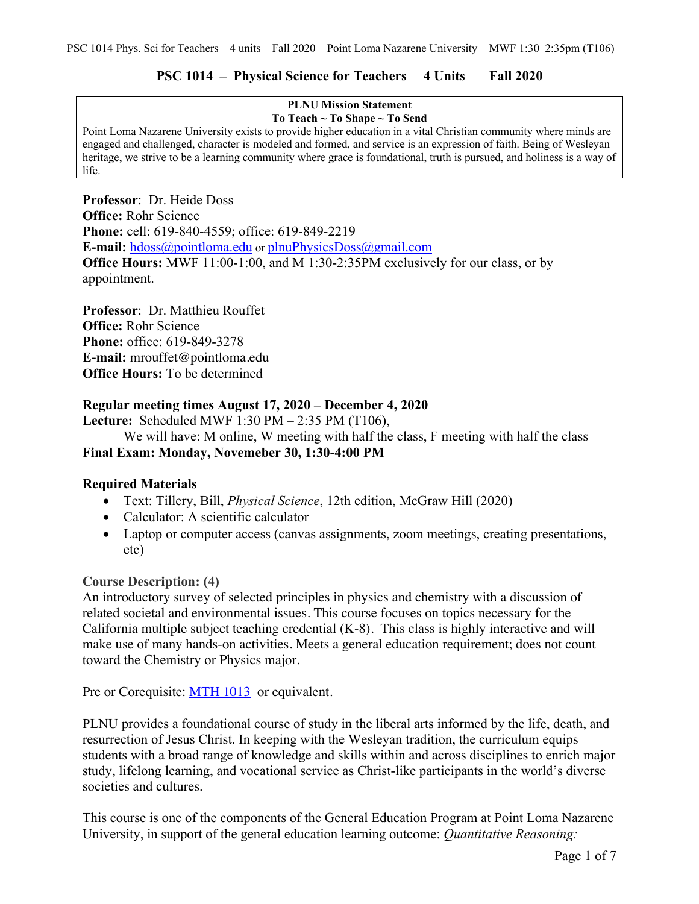# **PSC 1014 – Physical Science for Teachers 4 Units Fall 2020**

#### **PLNU Mission Statement To Teach ~ To Shape ~ To Send**

Point Loma Nazarene University exists to provide higher education in a vital Christian community where minds are engaged and challenged, character is modeled and formed, and service is an expression of faith. Being of Wesleyan heritage, we strive to be a learning community where grace is foundational, truth is pursued, and holiness is a way of life.

**Professor**: Dr. Heide Doss **Office:** Rohr Science **Phone:** cell: 619-840-4559; office: 619-849-2219 **E-mail:** hdoss@pointloma.edu or plnuPhysicsDoss@gmail.com **Office Hours:** MWF 11:00-1:00, and M 1:30-2:35PM exclusively for our class, or by appointment.

**Professor**: Dr. Matthieu Rouffet **Office:** Rohr Science **Phone:** office: 619-849-3278 **E-mail:** mrouffet@pointloma.edu **Office Hours:** To be determined

# **Regular meeting times August 17, 2020 – December 4, 2020**

**Lecture:** Scheduled MWF 1:30 PM – 2:35 PM (T106),

We will have: M online, W meeting with half the class, F meeting with half the class **Final Exam: Monday, Novemeber 30, 1:30-4:00 PM** 

# **Required Materials**

- Text: Tillery, Bill, *Physical Science*, 12th edition, McGraw Hill (2020)
- Calculator: A scientific calculator
- Laptop or computer access (canvas assignments, zoom meetings, creating presentations, etc)

### **Course Description: (4)**

An introductory survey of selected principles in physics and chemistry with a discussion of related societal and environmental issues. This course focuses on topics necessary for the California multiple subject teaching credential (K-8). This class is highly interactive and will make use of many hands-on activities. Meets a general education requirement; does not count toward the Chemistry or Physics major.

Pre or Corequisite: MTH 1013 or equivalent.

PLNU provides a foundational course of study in the liberal arts informed by the life, death, and resurrection of Jesus Christ. In keeping with the Wesleyan tradition, the curriculum equips students with a broad range of knowledge and skills within and across disciplines to enrich major study, lifelong learning, and vocational service as Christ-like participants in the world's diverse societies and cultures.

This course is one of the components of the General Education Program at Point Loma Nazarene University, in support of the general education learning outcome: *Quantitative Reasoning:*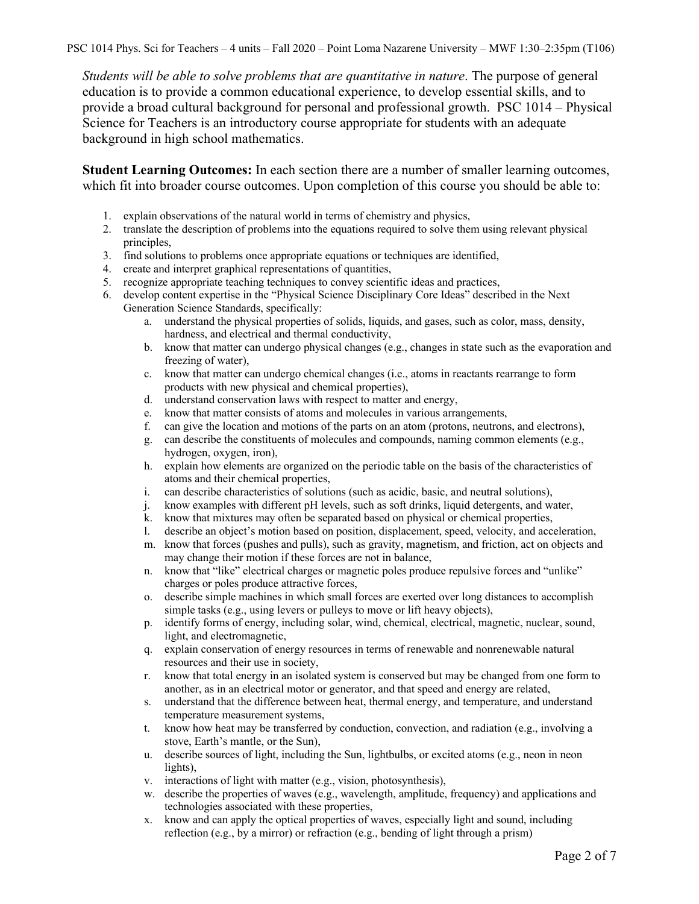PSC 1014 Phys. Sci for Teachers – 4 units – Fall 2020 – Point Loma Nazarene University – MWF 1:30–2:35pm (T106)

*Students will be able to solve problems that are quantitative in nature*. The purpose of general education is to provide a common educational experience, to develop essential skills, and to provide a broad cultural background for personal and professional growth. PSC 1014 – Physical Science for Teachers is an introductory course appropriate for students with an adequate background in high school mathematics.

**Student Learning Outcomes:** In each section there are a number of smaller learning outcomes, which fit into broader course outcomes. Upon completion of this course you should be able to:

- 1. explain observations of the natural world in terms of chemistry and physics,
- 2. translate the description of problems into the equations required to solve them using relevant physical principles,
- 3. find solutions to problems once appropriate equations or techniques are identified,
- 4. create and interpret graphical representations of quantities,
- 5. recognize appropriate teaching techniques to convey scientific ideas and practices,
- 6. develop content expertise in the "Physical Science Disciplinary Core Ideas" described in the Next Generation Science Standards, specifically:
	- a. understand the physical properties of solids, liquids, and gases, such as color, mass, density, hardness, and electrical and thermal conductivity,
	- b. know that matter can undergo physical changes (e.g., changes in state such as the evaporation and freezing of water),
	- c. know that matter can undergo chemical changes (i.e., atoms in reactants rearrange to form products with new physical and chemical properties),
	- d. understand conservation laws with respect to matter and energy,
	- e. know that matter consists of atoms and molecules in various arrangements,
	- f. can give the location and motions of the parts on an atom (protons, neutrons, and electrons),
	- g. can describe the constituents of molecules and compounds, naming common elements (e.g., hydrogen, oxygen, iron),
	- h. explain how elements are organized on the periodic table on the basis of the characteristics of atoms and their chemical properties,
	- i. can describe characteristics of solutions (such as acidic, basic, and neutral solutions),
	- j. know examples with different pH levels, such as soft drinks, liquid detergents, and water,
	- k. know that mixtures may often be separated based on physical or chemical properties,
	- l. describe an object's motion based on position, displacement, speed, velocity, and acceleration,
	- m. know that forces (pushes and pulls), such as gravity, magnetism, and friction, act on objects and may change their motion if these forces are not in balance,
	- n. know that "like" electrical charges or magnetic poles produce repulsive forces and "unlike" charges or poles produce attractive forces,
	- o. describe simple machines in which small forces are exerted over long distances to accomplish simple tasks (e.g., using levers or pulleys to move or lift heavy objects),
	- p. identify forms of energy, including solar, wind, chemical, electrical, magnetic, nuclear, sound, light, and electromagnetic,
	- q. explain conservation of energy resources in terms of renewable and nonrenewable natural resources and their use in society,
	- r. know that total energy in an isolated system is conserved but may be changed from one form to another, as in an electrical motor or generator, and that speed and energy are related,
	- s. understand that the difference between heat, thermal energy, and temperature, and understand temperature measurement systems,
	- t. know how heat may be transferred by conduction, convection, and radiation (e.g., involving a stove, Earth's mantle, or the Sun),
	- u. describe sources of light, including the Sun, lightbulbs, or excited atoms (e.g., neon in neon lights),
	- v. interactions of light with matter (e.g., vision, photosynthesis),
	- w. describe the properties of waves (e.g., wavelength, amplitude, frequency) and applications and technologies associated with these properties,
	- x. know and can apply the optical properties of waves, especially light and sound, including reflection (e.g., by a mirror) or refraction (e.g., bending of light through a prism)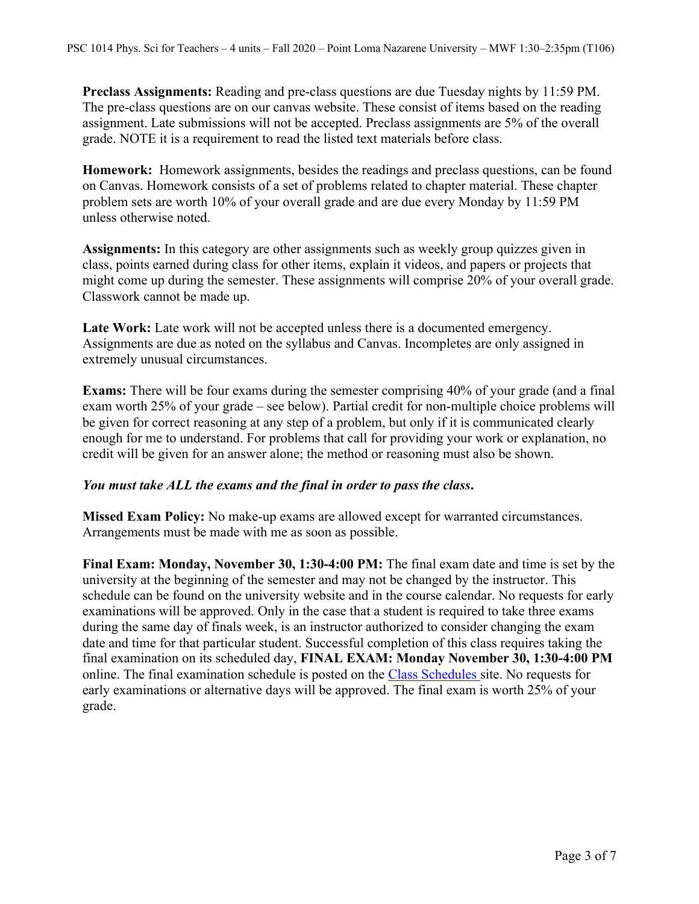**Preclass Assignments:** Reading and pre-class questions are due Tuesday nights by 11:59 PM. The pre-class questions are on our canvas website. These consist of items based on the reading assignment. Late submissions will not be accepted. Preclass assignments are 5% of the overall grade. NOTE it is a requirement to read the listed text materials before class.

**Homework:** Homework assignments, besides the readings and preclass questions, can be found on Canvas. Homework consists of a set of problems related to chapter material. These chapter problem sets are worth 10% of your overall grade and are due every Monday by 11:59 PM unless otherwise noted.

**Assignments:** In this category are other assignments such as weekly group quizzes given in class, points earned during class for other items, explain it videos, and papers or projects that might come up during the semester. These assignments will comprise 20% of your overall grade. Classwork cannot be made up.

Late Work: Late work will not be accepted unless there is a documented emergency. Assignments are due as noted on the syllabus and Canvas. Incompletes are only assigned in extremely unusual circumstances.

**Exams:** There will be four exams during the semester comprising 40% of your grade (and a final exam worth 25% of your grade – see below). Partial credit for non-multiple choice problems will be given for correct reasoning at any step of a problem, but only if it is communicated clearly enough for me to understand. For problems that call for providing your work or explanation, no credit will be given for an answer alone; the method or reasoning must also be shown.

### *You must take ALL the exams and the final in order to pass the class***.**

**Missed Exam Policy:** No make-up exams are allowed except for warranted circumstances. Arrangements must be made with me as soon as possible.

**Final Exam: Monday, November 30, 1:30-4:00 PM:** The final exam date and time is set by the university at the beginning of the semester and may not be changed by the instructor. This schedule can be found on the university website and in the course calendar. No requests for early examinations will be approved. Only in the case that a student is required to take three exams during the same day of finals week, is an instructor authorized to consider changing the exam date and time for that particular student. Successful completion of this class requires taking the final examination on its scheduled day, **FINAL EXAM: Monday November 30, 1:30-4:00 PM**  online. The final examination schedule is posted on the Class Schedules site. No requests for early examinations or alternative days will be approved. The final exam is worth 25% of your grade.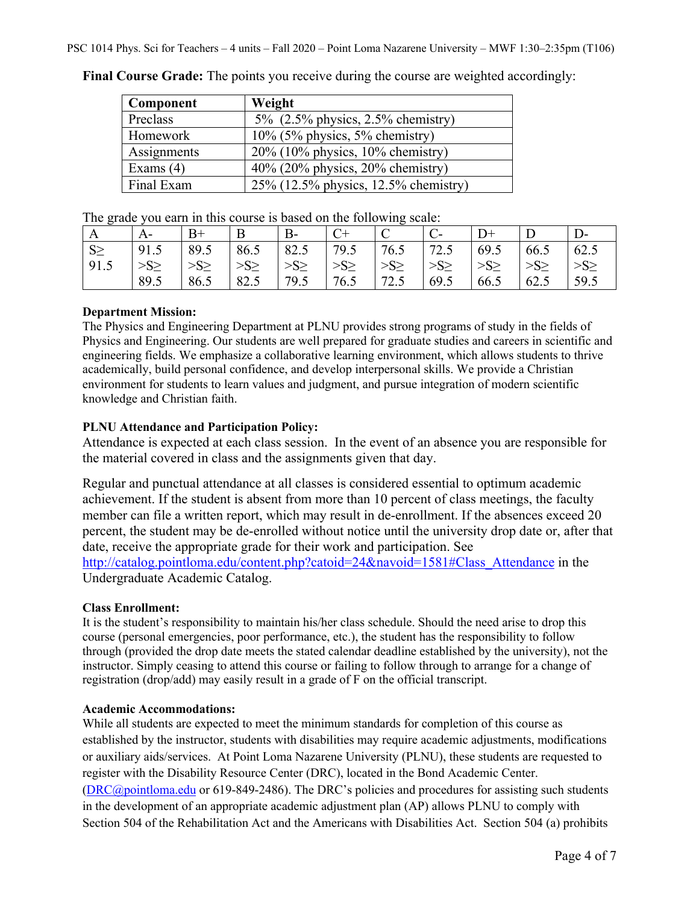| Component   | Weight                               |
|-------------|--------------------------------------|
| Preclass    | 5% $(2.5\%$ physics, 2.5% chemistry) |
| Homework    | $10\%$ (5% physics, 5% chemistry)    |
| Assignments | $20\%$ (10% physics, 10% chemistry)  |
| Exams $(4)$ | $40\%$ (20% physics, 20% chemistry)  |
| Final Exam  | 25% (12.5% physics, 12.5% chemistry) |

**Final Course Grade:** The points you receive during the course are weighted accordingly:

The grade you earn in this course is based on the following scale:

| A        | A-        | B+        | B         | $B -$     | $C+$      | ◡         |           |          |                 |           |
|----------|-----------|-----------|-----------|-----------|-----------|-----------|-----------|----------|-----------------|-----------|
| $S \geq$ | 91.5      | 89.5      | 86.5      | 82.5      | 79.5      | 76.5      | 72.5      | 69.5     | 66.5            | 62.5      |
| 91.5     | $>S \geq$ | $>S \geq$ | $>S \geq$ | $>S \geq$ | $>S \geq$ | $>S \geq$ | $>S \geq$ | $>S\geq$ | >S <sub>2</sub> | $>S \geq$ |
|          | 89.5      | 86.5      | 82.5      | 79.5      | 76.5      | 72.5      | 69.5      | 66.5     | 62.5            | 59.5      |

### **Department Mission:**

The Physics and Engineering Department at PLNU provides strong programs of study in the fields of Physics and Engineering. Our students are well prepared for graduate studies and careers in scientific and engineering fields. We emphasize a collaborative learning environment, which allows students to thrive academically, build personal confidence, and develop interpersonal skills. We provide a Christian environment for students to learn values and judgment, and pursue integration of modern scientific knowledge and Christian faith.

### **PLNU Attendance and Participation Policy:**

Attendance is expected at each class session. In the event of an absence you are responsible for the material covered in class and the assignments given that day.

Regular and punctual attendance at all classes is considered essential to optimum academic achievement. If the student is absent from more than 10 percent of class meetings, the faculty member can file a written report, which may result in de-enrollment. If the absences exceed 20 percent, the student may be de-enrolled without notice until the university drop date or, after that date, receive the appropriate grade for their work and participation. See http://catalog.pointloma.edu/content.php?catoid=24&navoid=1581#Class\_Attendance in the Undergraduate Academic Catalog.

### **Class Enrollment:**

It is the student's responsibility to maintain his/her class schedule. Should the need arise to drop this course (personal emergencies, poor performance, etc.), the student has the responsibility to follow through (provided the drop date meets the stated calendar deadline established by the university), not the instructor. Simply ceasing to attend this course or failing to follow through to arrange for a change of registration (drop/add) may easily result in a grade of F on the official transcript.

### **Academic Accommodations:**

While all students are expected to meet the minimum standards for completion of this course as established by the instructor, students with disabilities may require academic adjustments, modifications or auxiliary aids/services. At Point Loma Nazarene University (PLNU), these students are requested to register with the Disability Resource Center (DRC), located in the Bond Academic Center. (DRC@pointloma.edu or 619-849-2486). The DRC's policies and procedures for assisting such students in the development of an appropriate academic adjustment plan (AP) allows PLNU to comply with Section 504 of the Rehabilitation Act and the Americans with Disabilities Act. Section 504 (a) prohibits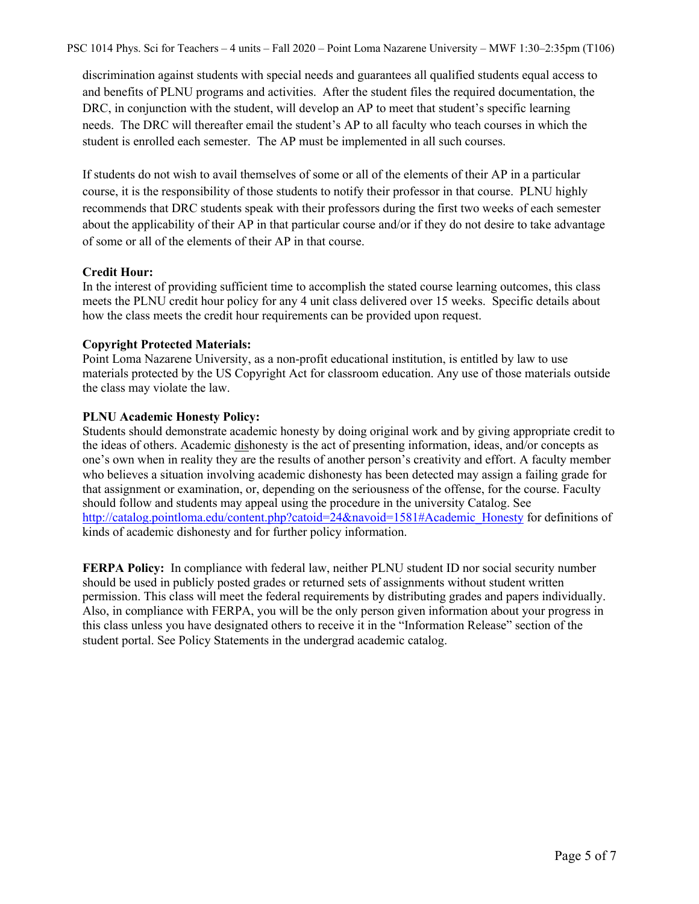PSC 1014 Phys. Sci for Teachers – 4 units – Fall 2020 – Point Loma Nazarene University – MWF 1:30–2:35pm (T106)

discrimination against students with special needs and guarantees all qualified students equal access to and benefits of PLNU programs and activities. After the student files the required documentation, the DRC, in conjunction with the student, will develop an AP to meet that student's specific learning needs. The DRC will thereafter email the student's AP to all faculty who teach courses in which the student is enrolled each semester. The AP must be implemented in all such courses.

If students do not wish to avail themselves of some or all of the elements of their AP in a particular course, it is the responsibility of those students to notify their professor in that course. PLNU highly recommends that DRC students speak with their professors during the first two weeks of each semester about the applicability of their AP in that particular course and/or if they do not desire to take advantage of some or all of the elements of their AP in that course.

#### **Credit Hour:**

In the interest of providing sufficient time to accomplish the stated course learning outcomes, this class meets the PLNU credit hour policy for any 4 unit class delivered over 15 weeks. Specific details about how the class meets the credit hour requirements can be provided upon request.

#### **Copyright Protected Materials:**

Point Loma Nazarene University, as a non-profit educational institution, is entitled by law to use materials protected by the US Copyright Act for classroom education. Any use of those materials outside the class may violate the law.

#### **PLNU Academic Honesty Policy:**

Students should demonstrate academic honesty by doing original work and by giving appropriate credit to the ideas of others. Academic dishonesty is the act of presenting information, ideas, and/or concepts as one's own when in reality they are the results of another person's creativity and effort. A faculty member who believes a situation involving academic dishonesty has been detected may assign a failing grade for that assignment or examination, or, depending on the seriousness of the offense, for the course. Faculty should follow and students may appeal using the procedure in the university Catalog. See http://catalog.pointloma.edu/content.php?catoid=24&navoid=1581#Academic\_Honesty for definitions of kinds of academic dishonesty and for further policy information.

**FERPA Policy:** In compliance with federal law, neither PLNU student ID nor social security number should be used in publicly posted grades or returned sets of assignments without student written permission. This class will meet the federal requirements by distributing grades and papers individually. Also, in compliance with FERPA, you will be the only person given information about your progress in this class unless you have designated others to receive it in the "Information Release" section of the student portal. See Policy Statements in the undergrad academic catalog.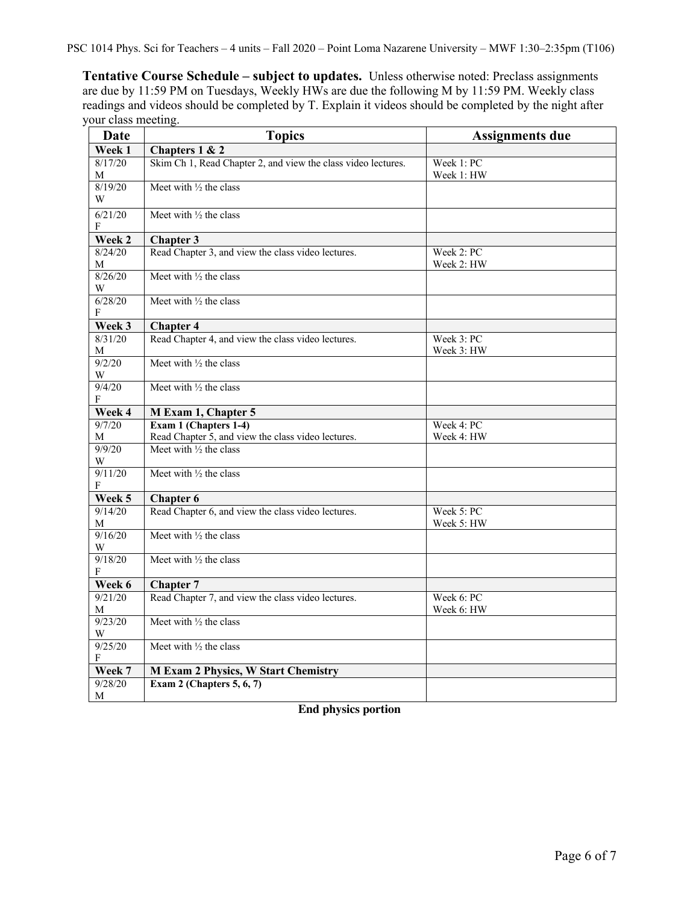PSC 1014 Phys. Sci for Teachers – 4 units – Fall 2020 – Point Loma Nazarene University – MWF 1:30–2:35pm (T106)

**Tentative Course Schedule – subject to updates.** Unless otherwise noted: Preclass assignments are due by 11:59 PM on Tuesdays, Weekly HWs are due the following M by 11:59 PM. Weekly class readings and videos should be completed by T. Explain it videos should be completed by the night after your class meeting.

| Date         | <b>Topics</b>                                                 | <b>Assignments due</b>   |  |  |
|--------------|---------------------------------------------------------------|--------------------------|--|--|
| Week 1       | Chapters 1 & 2                                                |                          |  |  |
| 8/17/20<br>М | Skim Ch 1, Read Chapter 2, and view the class video lectures. | Week 1: PC<br>Week 1: HW |  |  |
| 8/19/20<br>W | Meet with $\frac{1}{2}$ the class                             |                          |  |  |
| 6/21/20<br>F | Meet with 1/2 the class                                       |                          |  |  |
| Week 2       | <b>Chapter 3</b>                                              |                          |  |  |
| 8/24/20<br>М | Read Chapter 3, and view the class video lectures.            | Week 2: PC<br>Week 2: HW |  |  |
| 8/26/20<br>W | Meet with $\frac{1}{2}$ the class                             |                          |  |  |
| 6/28/20<br>F | Meet with $\frac{1}{2}$ the class                             |                          |  |  |
| Week 3       | <b>Chapter 4</b>                                              |                          |  |  |
| 8/31/20<br>М | Read Chapter 4, and view the class video lectures.            | Week 3: PC<br>Week 3: HW |  |  |
| 9/2/20<br>W  | Meet with 1/2 the class                                       |                          |  |  |
| 9/4/20<br>F  | Meet with $\frac{1}{2}$ the class                             |                          |  |  |
| Week 4       | M Exam 1, Chapter 5                                           |                          |  |  |
| 9/7/20       | Exam 1 (Chapters 1-4)                                         | Week 4: PC               |  |  |
| M            | Read Chapter 5, and view the class video lectures.            | Week 4: HW               |  |  |
| 9/9/20<br>W  | Meet with $\frac{1}{2}$ the class                             |                          |  |  |
| 9/11/20<br>F | Meet with $\frac{1}{2}$ the class                             |                          |  |  |
| Week 5       | <b>Chapter 6</b>                                              |                          |  |  |
| 9/14/20<br>М | Read Chapter 6, and view the class video lectures.            | Week 5: PC<br>Week 5: HW |  |  |
| 9/16/20<br>W | Meet with 1/2 the class                                       |                          |  |  |
| 9/18/20<br>F | Meet with 1/2 the class                                       |                          |  |  |
| Week 6       | <b>Chapter 7</b>                                              |                          |  |  |
| 9/21/20<br>M | Read Chapter 7, and view the class video lectures.            | Week 6: PC<br>Week 6: HW |  |  |
| 9/23/20<br>W | Meet with $\frac{1}{2}$ the class                             |                          |  |  |
| 9/25/20<br>F | Meet with $\frac{1}{2}$ the class                             |                          |  |  |
| Week 7       | <b>M Exam 2 Physics, W Start Chemistry</b>                    |                          |  |  |
| 9/28/20<br>М | Exam 2 (Chapters $5, 6, 7$ )                                  |                          |  |  |

**End physics portion**